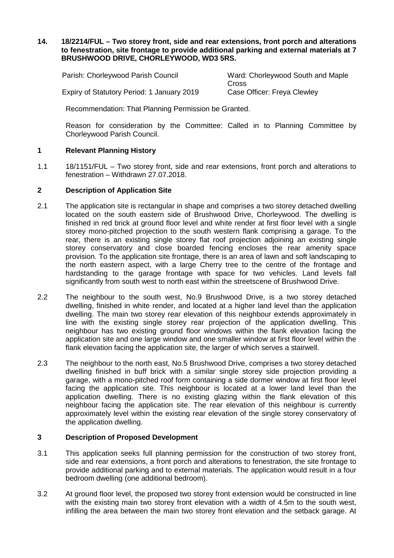# **14. 18/2214/FUL – Two storey front, side and rear extensions, front porch and alterations to fenestration, site frontage to provide additional parking and external materials at 7 BRUSHWOOD DRIVE, CHORLEYWOOD, WD3 5RS.**

| Parish: Chorleywood Parish Council         | Ward: Chorleywood South and Maple |
|--------------------------------------------|-----------------------------------|
|                                            | Cross.                            |
| Expiry of Statutory Period: 1 January 2019 | Case Officer: Freya Clewley       |

Recommendation: That Planning Permission be Granted.

Reason for consideration by the Committee: Called in to Planning Committee by Chorleywood Parish Council.

# **1 Relevant Planning History**

1.1 18/1151/FUL – Two storey front, side and rear extensions, front porch and alterations to fenestration – Withdrawn 27.07.2018.

# **2 Description of Application Site**

- 2.1 The application site is rectangular in shape and comprises a two storey detached dwelling located on the south eastern side of Brushwood Drive, Chorleywood. The dwelling is finished in red brick at ground floor level and white render at first floor level with a single storey mono-pitched projection to the south western flank comprising a garage. To the rear, there is an existing single storey flat roof projection adjoining an existing single storey conservatory and close boarded fencing encloses the rear amenity space provision. To the application site frontage, there is an area of lawn and soft landscaping to the north eastern aspect, with a large Cherry tree to the centre of the frontage and hardstanding to the garage frontage with space for two vehicles. Land levels fall significantly from south west to north east within the streetscene of Brushwood Drive.
- 2.2 The neighbour to the south west, No.9 Brushwood Drive, is a two storey detached dwelling, finished in white render, and located at a higher land level than the application dwelling. The main two storey rear elevation of this neighbour extends approximately in line with the existing single storey rear projection of the application dwelling. This neighbour has two existing ground floor windows within the flank elevation facing the application site and one large window and one smaller window at first floor level within the flank elevation facing the application site, the larger of which serves a stairwell.
- 2.3 The neighbour to the north east, No.5 Brushwood Drive, comprises a two storey detached dwelling finished in buff brick with a similar single storey side projection providing a garage, with a mono-pitched roof form containing a side dormer window at first floor level facing the application site. This neighbour is located at a lower land level than the application dwelling. There is no existing glazing within the flank elevation of this neighbour facing the application site. The rear elevation of this neighbour is currently approximately level within the existing rear elevation of the single storey conservatory of the application dwelling.

# **3 Description of Proposed Development**

- 3.1 This application seeks full planning permission for the construction of two storey front, side and rear extensions, a front porch and alterations to fenestration, the site frontage to provide additional parking and to external materials. The application would result in a four bedroom dwelling (one additional bedroom).
- 3.2 At ground floor level, the proposed two storey front extension would be constructed in line with the existing main two storey front elevation with a width of 4.5m to the south west, infilling the area between the main two storey front elevation and the setback garage. At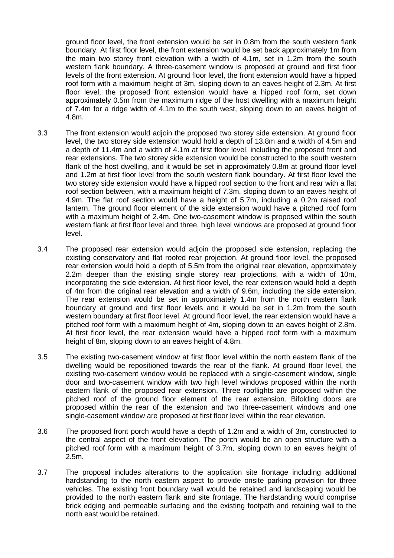ground floor level, the front extension would be set in 0.8m from the south western flank boundary. At first floor level, the front extension would be set back approximately 1m from the main two storey front elevation with a width of 4.1m, set in 1.2m from the south western flank boundary. A three-casement window is proposed at ground and first floor levels of the front extension. At ground floor level, the front extension would have a hipped roof form with a maximum height of 3m, sloping down to an eaves height of 2.3m. At first floor level, the proposed front extension would have a hipped roof form, set down approximately 0.5m from the maximum ridge of the host dwelling with a maximum height of 7.4m for a ridge width of 4.1m to the south west, sloping down to an eaves height of 4.8m.

- 3.3 The front extension would adjoin the proposed two storey side extension. At ground floor level, the two storey side extension would hold a depth of 13.8m and a width of 4.5m and a depth of 11.4m and a width of 4.1m at first floor level, including the proposed front and rear extensions. The two storey side extension would be constructed to the south western flank of the host dwelling, and it would be set in approximately 0.8m at ground floor level and 1.2m at first floor level from the south western flank boundary. At first floor level the two storey side extension would have a hipped roof section to the front and rear with a flat roof section between, with a maximum height of 7.3m, sloping down to an eaves height of 4.9m. The flat roof section would have a height of 5.7m, including a 0.2m raised roof lantern. The ground floor element of the side extension would have a pitched roof form with a maximum height of 2.4m. One two-casement window is proposed within the south western flank at first floor level and three, high level windows are proposed at ground floor level.
- 3.4 The proposed rear extension would adjoin the proposed side extension, replacing the existing conservatory and flat roofed rear projection. At ground floor level, the proposed rear extension would hold a depth of 5.5m from the original rear elevation, approximately 2.2m deeper than the existing single storey rear projections, with a width of 10m, incorporating the side extension. At first floor level, the rear extension would hold a depth of 4m from the original rear elevation and a width of 9.6m, including the side extension. The rear extension would be set in approximately 1.4m from the north eastern flank boundary at ground and first floor levels and it would be set in 1.2m from the south western boundary at first floor level. At ground floor level, the rear extension would have a pitched roof form with a maximum height of 4m, sloping down to an eaves height of 2.8m. At first floor level, the rear extension would have a hipped roof form with a maximum height of 8m, sloping down to an eaves height of 4.8m.
- 3.5 The existing two-casement window at first floor level within the north eastern flank of the dwelling would be repositioned towards the rear of the flank. At ground floor level, the existing two-casement window would be replaced with a single-casement window, single door and two-casement window with two high level windows proposed within the north eastern flank of the proposed rear extension. Three rooflights are proposed within the pitched roof of the ground floor element of the rear extension. Bifolding doors are proposed within the rear of the extension and two three-casement windows and one single-casement window are proposed at first floor level within the rear elevation.
- 3.6 The proposed front porch would have a depth of 1.2m and a width of 3m, constructed to the central aspect of the front elevation. The porch would be an open structure with a pitched roof form with a maximum height of 3.7m, sloping down to an eaves height of 2.5m.
- 3.7 The proposal includes alterations to the application site frontage including additional hardstanding to the north eastern aspect to provide onsite parking provision for three vehicles. The existing front boundary wall would be retained and landscaping would be provided to the north eastern flank and site frontage. The hardstanding would comprise brick edging and permeable surfacing and the existing footpath and retaining wall to the north east would be retained.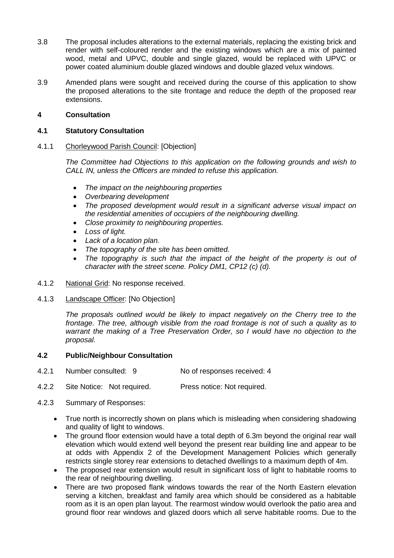- 3.8 The proposal includes alterations to the external materials, replacing the existing brick and render with self-coloured render and the existing windows which are a mix of painted wood, metal and UPVC, double and single glazed, would be replaced with UPVC or power coated aluminium double glazed windows and double glazed velux windows.
- 3.9 Amended plans were sought and received during the course of this application to show the proposed alterations to the site frontage and reduce the depth of the proposed rear extensions.

# **4 Consultation**

### **4.1 Statutory Consultation**

### 4.1.1 Chorleywood Parish Council: [Objection]

*The Committee had Objections to this application on the following grounds and wish to CALL IN, unless the Officers are minded to refuse this application.* 

- *The impact on the neighbouring properties*
- *Overbearing development*
- *The proposed development would result in a significant adverse visual impact on the residential amenities of occupiers of the neighbouring dwelling.*
- *Close proximity to neighbouring properties.*
- *Loss of light.*
- *Lack of a location plan.*
- *The topography of the site has been omitted.*
- *The topography is such that the impact of the height of the property is out of character with the street scene. Policy DM1, CP12 (c) (d).*
- 4.1.2 National Grid: No response received.
- 4.1.3 Landscape Officer: [No Objection]

*The proposals outlined would be likely to impact negatively on the Cherry tree to the frontage. The tree, although visible from the road frontage is not of such a quality as to warrant the making of a Tree Preservation Order, so I would have no objection to the proposal.*

# **4.2 Public/Neighbour Consultation**

- 4.2.1 Number consulted: 9 No of responses received: 4
- 4.2.2 Site Notice: Not required. Press notice: Not required.
- 4.2.3 Summary of Responses:
	- True north is incorrectly shown on plans which is misleading when considering shadowing and quality of light to windows.
	- The ground floor extension would have a total depth of 6.3m beyond the original rear wall elevation which would extend well beyond the present rear building line and appear to be at odds with Appendix 2 of the Development Management Policies which generally restricts single storey rear extensions to detached dwellings to a maximum depth of 4m.
	- The proposed rear extension would result in significant loss of light to habitable rooms to the rear of neighbouring dwelling.
	- There are two proposed flank windows towards the rear of the North Eastern elevation serving a kitchen, breakfast and family area which should be considered as a habitable room as it is an open plan layout. The rearmost window would overlook the patio area and ground floor rear windows and glazed doors which all serve habitable rooms. Due to the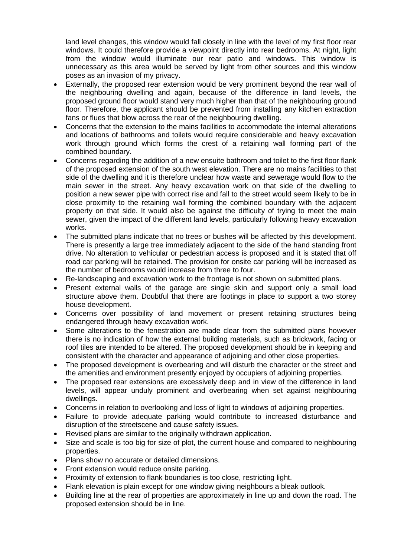land level changes, this window would fall closely in line with the level of my first floor rear windows. It could therefore provide a viewpoint directly into rear bedrooms. At night, light from the window would illuminate our rear patio and windows. This window is unnecessary as this area would be served by light from other sources and this window poses as an invasion of my privacy.

- Externally, the proposed rear extension would be very prominent beyond the rear wall of the neighbouring dwelling and again, because of the difference in land levels, the proposed ground floor would stand very much higher than that of the neighbouring ground floor. Therefore, the applicant should be prevented from installing any kitchen extraction fans or flues that blow across the rear of the neighbouring dwelling.
- Concerns that the extension to the mains facilities to accommodate the internal alterations and locations of bathrooms and toilets would require considerable and heavy excavation work through ground which forms the crest of a retaining wall forming part of the combined boundary.
- Concerns regarding the addition of a new ensuite bathroom and toilet to the first floor flank of the proposed extension of the south west elevation. There are no mains facilities to that side of the dwelling and it is therefore unclear how waste and sewerage would flow to the main sewer in the street. Any heavy excavation work on that side of the dwelling to position a new sewer pipe with correct rise and fall to the street would seem likely to be in close proximity to the retaining wall forming the combined boundary with the adjacent property on that side. It would also be against the difficulty of trying to meet the main sewer, given the impact of the different land levels, particularly following heavy excavation works.
- The submitted plans indicate that no trees or bushes will be affected by this development. There is presently a large tree immediately adjacent to the side of the hand standing front drive. No alteration to vehicular or pedestrian access is proposed and it is stated that off road car parking will be retained. The provision for onsite car parking will be increased as the number of bedrooms would increase from three to four.
- Re-landscaping and excavation work to the frontage is not shown on submitted plans.
- Present external walls of the garage are single skin and support only a small load structure above them. Doubtful that there are footings in place to support a two storey house development.
- Concerns over possibility of land movement or present retaining structures being endangered through heavy excavation work.
- Some alterations to the fenestration are made clear from the submitted plans however there is no indication of how the external building materials, such as brickwork, facing or roof tiles are intended to be altered. The proposed development should be in keeping and consistent with the character and appearance of adjoining and other close properties.
- The proposed development is overbearing and will disturb the character or the street and the amenities and environment presently enjoyed by occupiers of adjoining properties.
- The proposed rear extensions are excessively deep and in view of the difference in land levels, will appear unduly prominent and overbearing when set against neighbouring dwellings.
- Concerns in relation to overlooking and loss of light to windows of adjoining properties.
- Failure to provide adequate parking would contribute to increased disturbance and disruption of the streetscene and cause safety issues.
- Revised plans are similar to the originally withdrawn application.
- Size and scale is too big for size of plot, the current house and compared to neighbouring properties.
- Plans show no accurate or detailed dimensions.
- Front extension would reduce onsite parking.
- Proximity of extension to flank boundaries is too close, restricting light.
- Flank elevation is plain except for one window giving neighbours a bleak outlook.
- Building line at the rear of properties are approximately in line up and down the road. The proposed extension should be in line.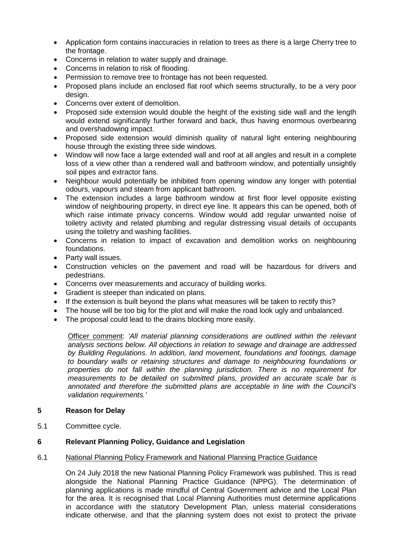- Application form contains inaccuracies in relation to trees as there is a large Cherry tree to the frontage.
- Concerns in relation to water supply and drainage.
- Concerns in relation to risk of flooding.
- Permission to remove tree to frontage has not been requested.
- Proposed plans include an enclosed flat roof which seems structurally, to be a very poor design.
- Concerns over extent of demolition.
- Proposed side extension would double the height of the existing side wall and the length would extend significantly further forward and back, thus having enormous overbearing and overshadowing impact.
- Proposed side extension would diminish quality of natural light entering neighbouring house through the existing three side windows.
- Window will now face a large extended wall and roof at all angles and result in a complete loss of a view other than a rendered wall and bathroom window, and potentially unsightly soil pipes and extractor fans.
- Neighbour would potentially be inhibited from opening window any longer with potential odours, vapours and steam from applicant bathroom.
- The extension includes a large bathroom window at first floor level opposite existing window of neighbouring property, in direct eye line. It appears this can be opened, both of which raise intimate privacy concerns. Window would add regular unwanted noise of toiletry activity and related plumbing and regular distressing visual details of occupants using the toiletry and washing facilities.
- Concerns in relation to impact of excavation and demolition works on neighbouring foundations.
- Party wall issues.
- Construction vehicles on the pavement and road will be hazardous for drivers and pedestrians.
- Concerns over measurements and accuracy of building works.
- Gradient is steeper than indicated on plans.
- If the extension is built beyond the plans what measures will be taken to rectify this?
- The house will be too big for the plot and will make the road look ugly and unbalanced.
- The proposal could lead to the drains blocking more easily.

Officer comment: *'All material planning considerations are outlined within the relevant analysis sections below. All objections in relation to sewage and drainage are addressed by Building Regulations. In addition, land movement, foundations and footings, damage to boundary walls or retaining structures and damage to neighbouring foundations or properties do not fall within the planning jurisdiction. There is no requirement for measurements to be detailed on submitted plans, provided an accurate scale bar is annotated and therefore the submitted plans are acceptable in line with the Council's validation requirements.'*

# **5 Reason for Delay**

5.1 Committee cycle.

# **6 Relevant Planning Policy, Guidance and Legislation**

6.1 National Planning Policy Framework and National Planning Practice Guidance

On 24 July 2018 the new National Planning Policy Framework was published. This is read alongside the National Planning Practice Guidance (NPPG). The determination of planning applications is made mindful of Central Government advice and the Local Plan for the area. It is recognised that Local Planning Authorities must determine applications in accordance with the statutory Development Plan, unless material considerations indicate otherwise, and that the planning system does not exist to protect the private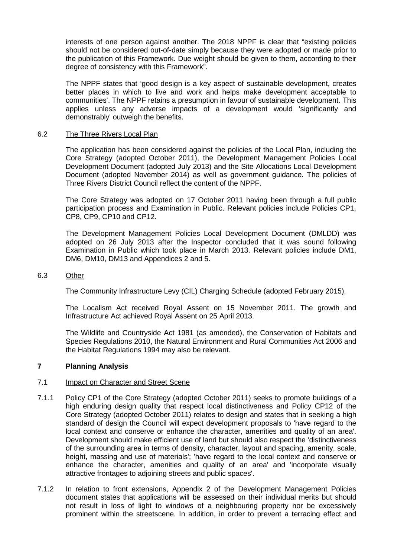interests of one person against another. The 2018 NPPF is clear that "existing policies should not be considered out-of-date simply because they were adopted or made prior to the publication of this Framework. Due weight should be given to them, according to their degree of consistency with this Framework".

The NPPF states that 'good design is a key aspect of sustainable development, creates better places in which to live and work and helps make development acceptable to communities'. The NPPF retains a presumption in favour of sustainable development. This applies unless any adverse impacts of a development would 'significantly and demonstrably' outweigh the benefits.

### 6.2 The Three Rivers Local Plan

The application has been considered against the policies of the Local Plan, including the Core Strategy (adopted October 2011), the Development Management Policies Local Development Document (adopted July 2013) and the Site Allocations Local Development Document (adopted November 2014) as well as government guidance. The policies of Three Rivers District Council reflect the content of the NPPF.

The Core Strategy was adopted on 17 October 2011 having been through a full public participation process and Examination in Public. Relevant policies include Policies CP1, CP8, CP9, CP10 and CP12.

The Development Management Policies Local Development Document (DMLDD) was adopted on 26 July 2013 after the Inspector concluded that it was sound following Examination in Public which took place in March 2013. Relevant policies include DM1, DM6, DM10, DM13 and Appendices 2 and 5.

#### 6.3 Other

The Community Infrastructure Levy (CIL) Charging Schedule (adopted February 2015).

The Localism Act received Royal Assent on 15 November 2011. The growth and Infrastructure Act achieved Royal Assent on 25 April 2013.

The Wildlife and Countryside Act 1981 (as amended), the Conservation of Habitats and Species Regulations 2010, the Natural Environment and Rural Communities Act 2006 and the Habitat Regulations 1994 may also be relevant.

# **7 Planning Analysis**

#### 7.1 Impact on Character and Street Scene

- 7.1.1 Policy CP1 of the Core Strategy (adopted October 2011) seeks to promote buildings of a high enduring design quality that respect local distinctiveness and Policy CP12 of the Core Strategy (adopted October 2011) relates to design and states that in seeking a high standard of design the Council will expect development proposals to 'have regard to the local context and conserve or enhance the character, amenities and quality of an area'. Development should make efficient use of land but should also respect the 'distinctiveness of the surrounding area in terms of density, character, layout and spacing, amenity, scale, height, massing and use of materials'; 'have regard to the local context and conserve or enhance the character, amenities and quality of an area' and 'incorporate visually attractive frontages to adjoining streets and public spaces'.
- 7.1.2 In relation to front extensions, Appendix 2 of the Development Management Policies document states that applications will be assessed on their individual merits but should not result in loss of light to windows of a neighbouring property nor be excessively prominent within the streetscene. In addition, in order to prevent a terracing effect and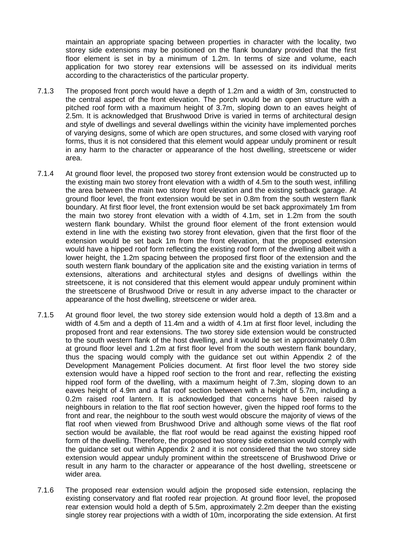maintain an appropriate spacing between properties in character with the locality, two storey side extensions may be positioned on the flank boundary provided that the first floor element is set in by a minimum of 1.2m. In terms of size and volume, each application for two storey rear extensions will be assessed on its individual merits according to the characteristics of the particular property.

- 7.1.3 The proposed front porch would have a depth of 1.2m and a width of 3m, constructed to the central aspect of the front elevation. The porch would be an open structure with a pitched roof form with a maximum height of 3.7m, sloping down to an eaves height of 2.5m. It is acknowledged that Brushwood Drive is varied in terms of architectural design and style of dwellings and several dwellings within the vicinity have implemented porches of varying designs, some of which are open structures, and some closed with varying roof forms, thus it is not considered that this element would appear unduly prominent or result in any harm to the character or appearance of the host dwelling, streetscene or wider area.
- 7.1.4 At ground floor level, the proposed two storey front extension would be constructed up to the existing main two storey front elevation with a width of 4.5m to the south west, infilling the area between the main two storey front elevation and the existing setback garage. At ground floor level, the front extension would be set in 0.8m from the south western flank boundary. At first floor level, the front extension would be set back approximately 1m from the main two storey front elevation with a width of 4.1m, set in 1.2m from the south western flank boundary. Whilst the ground floor element of the front extension would extend in line with the existing two storey front elevation, given that the first floor of the extension would be set back 1m from the front elevation, that the proposed extension would have a hipped roof form reflecting the existing roof form of the dwelling albeit with a lower height, the 1.2m spacing between the proposed first floor of the extension and the south western flank boundary of the application site and the existing variation in terms of extensions, alterations and architectural styles and designs of dwellings within the streetscene, it is not considered that this element would appear unduly prominent within the streetscene of Brushwood Drive or result in any adverse impact to the character or appearance of the host dwelling, streetscene or wider area.
- 7.1.5 At ground floor level, the two storey side extension would hold a depth of 13.8m and a width of 4.5m and a depth of 11.4m and a width of 4.1m at first floor level, including the proposed front and rear extensions. The two storey side extension would be constructed to the south western flank of the host dwelling, and it would be set in approximately 0.8m at ground floor level and 1.2m at first floor level from the south western flank boundary, thus the spacing would comply with the guidance set out within Appendix 2 of the Development Management Policies document. At first floor level the two storey side extension would have a hipped roof section to the front and rear, reflecting the existing hipped roof form of the dwelling, with a maximum height of 7.3m, sloping down to an eaves height of 4.9m and a flat roof section between with a height of 5.7m, including a 0.2m raised roof lantern. It is acknowledged that concerns have been raised by neighbours in relation to the flat roof section however, given the hipped roof forms to the front and rear, the neighbour to the south west would obscure the majority of views of the flat roof when viewed from Brushwood Drive and although some views of the flat roof section would be available, the flat roof would be read against the existing hipped roof form of the dwelling. Therefore, the proposed two storey side extension would comply with the guidance set out within Appendix 2 and it is not considered that the two storey side extension would appear unduly prominent within the streetscene of Brushwood Drive or result in any harm to the character or appearance of the host dwelling, streetscene or wider area.
- 7.1.6 The proposed rear extension would adjoin the proposed side extension, replacing the existing conservatory and flat roofed rear projection. At ground floor level, the proposed rear extension would hold a depth of 5.5m, approximately 2.2m deeper than the existing single storey rear projections with a width of 10m, incorporating the side extension. At first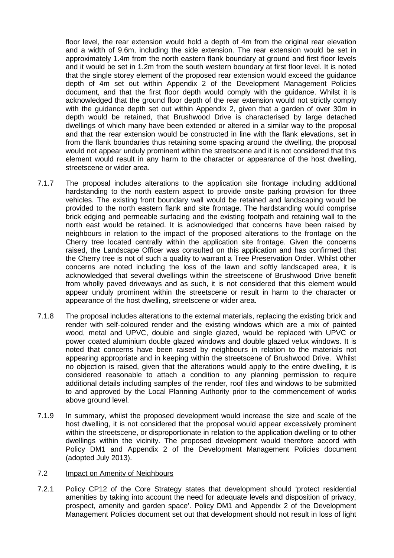floor level, the rear extension would hold a depth of 4m from the original rear elevation and a width of 9.6m, including the side extension. The rear extension would be set in approximately 1.4m from the north eastern flank boundary at ground and first floor levels and it would be set in 1.2m from the south western boundary at first floor level. It is noted that the single storey element of the proposed rear extension would exceed the guidance depth of 4m set out within Appendix 2 of the Development Management Policies document, and that the first floor depth would comply with the guidance. Whilst it is acknowledged that the ground floor depth of the rear extension would not strictly comply with the guidance depth set out within Appendix 2, given that a garden of over 30m in depth would be retained, that Brushwood Drive is characterised by large detached dwellings of which many have been extended or altered in a similar way to the proposal and that the rear extension would be constructed in line with the flank elevations, set in from the flank boundaries thus retaining some spacing around the dwelling, the proposal would not appear unduly prominent within the streetscene and it is not considered that this element would result in any harm to the character or appearance of the host dwelling, streetscene or wider area.

- 7.1.7 The proposal includes alterations to the application site frontage including additional hardstanding to the north eastern aspect to provide onsite parking provision for three vehicles. The existing front boundary wall would be retained and landscaping would be provided to the north eastern flank and site frontage. The hardstanding would comprise brick edging and permeable surfacing and the existing footpath and retaining wall to the north east would be retained. It is acknowledged that concerns have been raised by neighbours in relation to the impact of the proposed alterations to the frontage on the Cherry tree located centrally within the application site frontage. Given the concerns raised, the Landscape Officer was consulted on this application and has confirmed that the Cherry tree is not of such a quality to warrant a Tree Preservation Order. Whilst other concerns are noted including the loss of the lawn and softly landscaped area, it is acknowledged that several dwellings within the streetscene of Brushwood Drive benefit from wholly paved driveways and as such, it is not considered that this element would appear unduly prominent within the streetscene or result in harm to the character or appearance of the host dwelling, streetscene or wider area.
- 7.1.8 The proposal includes alterations to the external materials, replacing the existing brick and render with self-coloured render and the existing windows which are a mix of painted wood, metal and UPVC, double and single glazed, would be replaced with UPVC or power coated aluminium double glazed windows and double glazed velux windows. It is noted that concerns have been raised by neighbours in relation to the materials not appearing appropriate and in keeping within the streetscene of Brushwood Drive. Whilst no objection is raised, given that the alterations would apply to the entire dwelling, it is considered reasonable to attach a condition to any planning permission to require additional details including samples of the render, roof tiles and windows to be submitted to and approved by the Local Planning Authority prior to the commencement of works above ground level.
- 7.1.9 In summary, whilst the proposed development would increase the size and scale of the host dwelling, it is not considered that the proposal would appear excessively prominent within the streetscene, or disproportionate in relation to the application dwelling or to other dwellings within the vicinity. The proposed development would therefore accord with Policy DM1 and Appendix 2 of the Development Management Policies document (adopted July 2013).

### 7.2 Impact on Amenity of Neighbours

7.2.1 Policy CP12 of the Core Strategy states that development should 'protect residential amenities by taking into account the need for adequate levels and disposition of privacy, prospect, amenity and garden space'. Policy DM1 and Appendix 2 of the Development Management Policies document set out that development should not result in loss of light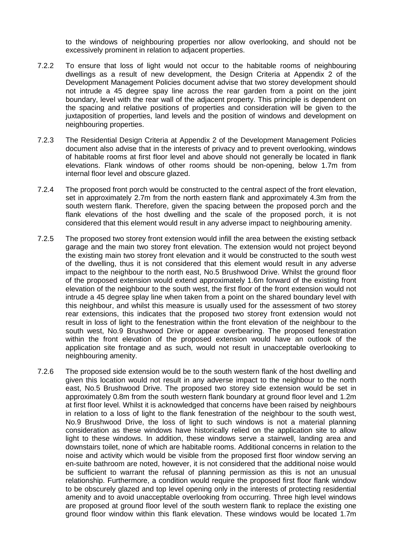to the windows of neighbouring properties nor allow overlooking, and should not be excessively prominent in relation to adjacent properties.

- 7.2.2 To ensure that loss of light would not occur to the habitable rooms of neighbouring dwellings as a result of new development, the Design Criteria at Appendix 2 of the Development Management Policies document advise that two storey development should not intrude a 45 degree spay line across the rear garden from a point on the joint boundary, level with the rear wall of the adjacent property. This principle is dependent on the spacing and relative positions of properties and consideration will be given to the juxtaposition of properties, land levels and the position of windows and development on neighbouring properties.
- 7.2.3 The Residential Design Criteria at Appendix 2 of the Development Management Policies document also advise that in the interests of privacy and to prevent overlooking, windows of habitable rooms at first floor level and above should not generally be located in flank elevations. Flank windows of other rooms should be non-opening, below 1.7m from internal floor level and obscure glazed.
- 7.2.4 The proposed front porch would be constructed to the central aspect of the front elevation, set in approximately 2.7m from the north eastern flank and approximately 4.3m from the south western flank. Therefore, given the spacing between the proposed porch and the flank elevations of the host dwelling and the scale of the proposed porch, it is not considered that this element would result in any adverse impact to neighbouring amenity.
- 7.2.5 The proposed two storey front extension would infill the area between the existing setback garage and the main two storey front elevation. The extension would not project beyond the existing main two storey front elevation and it would be constructed to the south west of the dwelling, thus it is not considered that this element would result in any adverse impact to the neighbour to the north east, No.5 Brushwood Drive. Whilst the ground floor of the proposed extension would extend approximately 1.6m forward of the existing front elevation of the neighbour to the south west, the first floor of the front extension would not intrude a 45 degree splay line when taken from a point on the shared boundary level with this neighbour, and whilst this measure is usually used for the assessment of two storey rear extensions, this indicates that the proposed two storey front extension would not result in loss of light to the fenestration within the front elevation of the neighbour to the south west, No.9 Brushwood Drive or appear overbearing. The proposed fenestration within the front elevation of the proposed extension would have an outlook of the application site frontage and as such, would not result in unacceptable overlooking to neighbouring amenity.
- 7.2.6 The proposed side extension would be to the south western flank of the host dwelling and given this location would not result in any adverse impact to the neighbour to the north east, No.5 Brushwood Drive. The proposed two storey side extension would be set in approximately 0.8m from the south western flank boundary at ground floor level and 1.2m at first floor level. Whilst it is acknowledged that concerns have been raised by neighbours in relation to a loss of light to the flank fenestration of the neighbour to the south west, No.9 Brushwood Drive, the loss of light to such windows is not a material planning consideration as these windows have historically relied on the application site to allow light to these windows. In addition, these windows serve a stairwell, landing area and downstairs toilet, none of which are habitable rooms. Additional concerns in relation to the noise and activity which would be visible from the proposed first floor window serving an en-suite bathroom are noted, however, it is not considered that the additional noise would be sufficient to warrant the refusal of planning permission as this is not an unusual relationship. Furthermore, a condition would require the proposed first floor flank window to be obscurely glazed and top level opening only in the interests of protecting residential amenity and to avoid unacceptable overlooking from occurring. Three high level windows are proposed at ground floor level of the south western flank to replace the existing one ground floor window within this flank elevation. These windows would be located 1.7m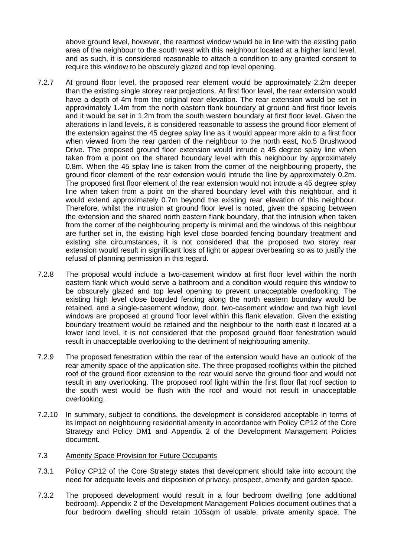above ground level, however, the rearmost window would be in line with the existing patio area of the neighbour to the south west with this neighbour located at a higher land level, and as such, it is considered reasonable to attach a condition to any granted consent to require this window to be obscurely glazed and top level opening.

- 7.2.7 At ground floor level, the proposed rear element would be approximately 2.2m deeper than the existing single storey rear projections. At first floor level, the rear extension would have a depth of 4m from the original rear elevation. The rear extension would be set in approximately 1.4m from the north eastern flank boundary at ground and first floor levels and it would be set in 1.2m from the south western boundary at first floor level. Given the alterations in land levels, it is considered reasonable to assess the ground floor element of the extension against the 45 degree splay line as it would appear more akin to a first floor when viewed from the rear garden of the neighbour to the north east, No.5 Brushwood Drive. The proposed ground floor extension would intrude a 45 degree splay line when taken from a point on the shared boundary level with this neighbour by approximately 0.8m. When the 45 splay line is taken from the corner of the neighbouring property, the ground floor element of the rear extension would intrude the line by approximately 0.2m. The proposed first floor element of the rear extension would not intrude a 45 degree splay line when taken from a point on the shared boundary level with this neighbour, and it would extend approximately 0.7m beyond the existing rear elevation of this neighbour. Therefore, whilst the intrusion at ground floor level is noted, given the spacing between the extension and the shared north eastern flank boundary, that the intrusion when taken from the corner of the neighbouring property is minimal and the windows of this neighbour are further set in, the existing high level close boarded fencing boundary treatment and existing site circumstances, it is not considered that the proposed two storey rear extension would result in significant loss of light or appear overbearing so as to justify the refusal of planning permission in this regard.
- 7.2.8 The proposal would include a two-casement window at first floor level within the north eastern flank which would serve a bathroom and a condition would require this window to be obscurely glazed and top level opening to prevent unacceptable overlooking. The existing high level close boarded fencing along the north eastern boundary would be retained, and a single-casement window, door, two-casement window and two high level windows are proposed at ground floor level within this flank elevation. Given the existing boundary treatment would be retained and the neighbour to the north east it located at a lower land level, it is not considered that the proposed ground floor fenestration would result in unacceptable overlooking to the detriment of neighbouring amenity.
- 7.2.9 The proposed fenestration within the rear of the extension would have an outlook of the rear amenity space of the application site. The three proposed rooflights within the pitched roof of the ground floor extension to the rear would serve the ground floor and would not result in any overlooking. The proposed roof light within the first floor flat roof section to the south west would be flush with the roof and would not result in unacceptable overlooking.
- 7.2.10 In summary, subject to conditions, the development is considered acceptable in terms of its impact on neighbouring residential amenity in accordance with Policy CP12 of the Core Strategy and Policy DM1 and Appendix 2 of the Development Management Policies document.

# 7.3 Amenity Space Provision for Future Occupants

- 7.3.1 Policy CP12 of the Core Strategy states that development should take into account the need for adequate levels and disposition of privacy, prospect, amenity and garden space.
- 7.3.2 The proposed development would result in a four bedroom dwelling (one additional bedroom). Appendix 2 of the Development Management Policies document outlines that a four bedroom dwelling should retain 105sqm of usable, private amenity space. The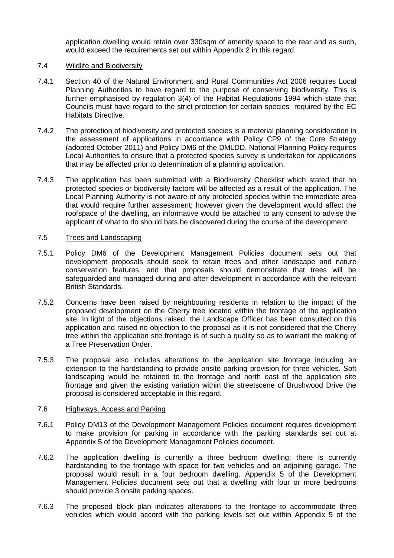application dwelling would retain over 330sqm of amenity space to the rear and as such, would exceed the requirements set out within Appendix 2 in this regard.

### 7.4 Wildlife and Biodiversity

- 7.4.1 Section 40 of the Natural Environment and Rural Communities Act 2006 requires Local Planning Authorities to have regard to the purpose of conserving biodiversity. This is further emphasised by regulation 3(4) of the Habitat Regulations 1994 which state that Councils must have regard to the strict protection for certain species required by the EC Habitats Directive.
- 7.4.2 The protection of biodiversity and protected species is a material planning consideration in the assessment of applications in accordance with Policy CP9 of the Core Strategy (adopted October 2011) and Policy DM6 of the DMLDD. National Planning Policy requires Local Authorities to ensure that a protected species survey is undertaken for applications that may be affected prior to determination of a planning application.
- 7.4.3 The application has been submitted with a Biodiversity Checklist which stated that no protected species or biodiversity factors will be affected as a result of the application. The Local Planning Authority is not aware of any protected species within the immediate area that would require further assessment; however given the development would affect the roofspace of the dwelling, an informative would be attached to any consent to advise the applicant of what to do should bats be discovered during the course of the development.

### 7.5 Trees and Landscaping

- 7.5.1 Policy DM6 of the Development Management Policies document sets out that development proposals should seek to retain trees and other landscape and nature conservation features, and that proposals should demonstrate that trees will be safeguarded and managed during and after development in accordance with the relevant British Standards.
- 7.5.2 Concerns have been raised by neighbouring residents in relation to the impact of the proposed development on the Cherry tree located within the frontage of the application site. In light of the objections raised, the Landscape Officer has been consulted on this application and raised no objection to the proposal as it is not considered that the Cherry tree within the application site frontage is of such a quality so as to warrant the making of a Tree Preservation Order.
- 7.5.3 The proposal also includes alterations to the application site frontage including an extension to the hardstanding to provide onsite parking provision for three vehicles. Soft landscaping would be retained to the frontage and north east of the application site frontage and given the existing variation within the streetscene of Brushwood Drive the proposal is considered acceptable in this regard.

# 7.6 Highways, Access and Parking

- 7.6.1 Policy DM13 of the Development Management Policies document requires development to make provision for parking in accordance with the parking standards set out at Appendix 5 of the Development Management Policies document.
- 7.6.2 The application dwelling is currently a three bedroom dwelling; there is currently hardstanding to the frontage with space for two vehicles and an adjoining garage. The proposal would result in a four bedroom dwelling. Appendix 5 of the Development Management Policies document sets out that a dwelling with four or more bedrooms should provide 3 onsite parking spaces.
- 7.6.3 The proposed block plan indicates alterations to the frontage to accommodate three vehicles which would accord with the parking levels set out within Appendix 5 of the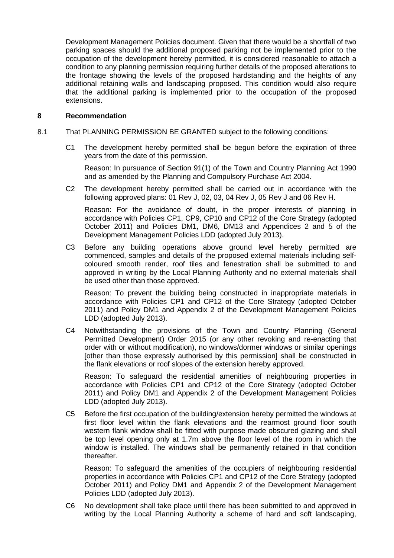Development Management Policies document. Given that there would be a shortfall of two parking spaces should the additional proposed parking not be implemented prior to the occupation of the development hereby permitted, it is considered reasonable to attach a condition to any planning permission requiring further details of the proposed alterations to the frontage showing the levels of the proposed hardstanding and the heights of any additional retaining walls and landscaping proposed. This condition would also require that the additional parking is implemented prior to the occupation of the proposed extensions.

### **8 Recommendation**

- 8.1 That PLANNING PERMISSION BE GRANTED subject to the following conditions:
	- C1 The development hereby permitted shall be begun before the expiration of three years from the date of this permission.

Reason: In pursuance of Section 91(1) of the Town and Country Planning Act 1990 and as amended by the Planning and Compulsory Purchase Act 2004.

C2 The development hereby permitted shall be carried out in accordance with the following approved plans: 01 Rev J, 02, 03, 04 Rev J, 05 Rev J and 06 Rev H.

Reason: For the avoidance of doubt, in the proper interests of planning in accordance with Policies CP1, CP9, CP10 and CP12 of the Core Strategy (adopted October 2011) and Policies DM1, DM6, DM13 and Appendices 2 and 5 of the Development Management Policies LDD (adopted July 2013).

C3 Before any building operations above ground level hereby permitted are commenced, samples and details of the proposed external materials including selfcoloured smooth render, roof tiles and fenestration shall be submitted to and approved in writing by the Local Planning Authority and no external materials shall be used other than those approved.

Reason: To prevent the building being constructed in inappropriate materials in accordance with Policies CP1 and CP12 of the Core Strategy (adopted October 2011) and Policy DM1 and Appendix 2 of the Development Management Policies LDD (adopted July 2013).

C4 Notwithstanding the provisions of the Town and Country Planning (General Permitted Development) Order 2015 (or any other revoking and re-enacting that order with or without modification), no windows/dormer windows or similar openings [other than those expressly authorised by this permission] shall be constructed in the flank elevations or roof slopes of the extension hereby approved.

Reason: To safeguard the residential amenities of neighbouring properties in accordance with Policies CP1 and CP12 of the Core Strategy (adopted October 2011) and Policy DM1 and Appendix 2 of the Development Management Policies LDD (adopted July 2013).

C5 Before the first occupation of the building/extension hereby permitted the windows at first floor level within the flank elevations and the rearmost ground floor south western flank window shall be fitted with purpose made obscured glazing and shall be top level opening only at 1.7m above the floor level of the room in which the window is installed. The windows shall be permanently retained in that condition thereafter.

Reason: To safeguard the amenities of the occupiers of neighbouring residential properties in accordance with Policies CP1 and CP12 of the Core Strategy (adopted October 2011) and Policy DM1 and Appendix 2 of the Development Management Policies LDD (adopted July 2013).

C6 No development shall take place until there has been submitted to and approved in writing by the Local Planning Authority a scheme of hard and soft landscaping,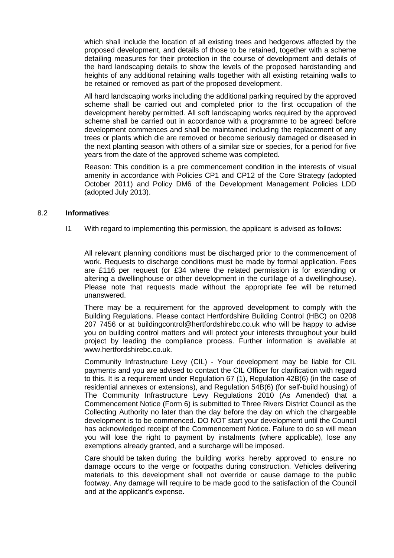which shall include the location of all existing trees and hedgerows affected by the proposed development, and details of those to be retained, together with a scheme detailing measures for their protection in the course of development and details of the hard landscaping details to show the levels of the proposed hardstanding and heights of any additional retaining walls together with all existing retaining walls to be retained or removed as part of the proposed development.

All hard landscaping works including the additional parking required by the approved scheme shall be carried out and completed prior to the first occupation of the development hereby permitted. All soft landscaping works required by the approved scheme shall be carried out in accordance with a programme to be agreed before development commences and shall be maintained including the replacement of any trees or plants which die are removed or become seriously damaged or diseased in the next planting season with others of a similar size or species, for a period for five years from the date of the approved scheme was completed.

Reason: This condition is a pre commencement condition in the interests of visual amenity in accordance with Policies CP1 and CP12 of the Core Strategy (adopted October 2011) and Policy DM6 of the Development Management Policies LDD (adopted July 2013).

### 8.2 **Informatives**:

I1 With regard to implementing this permission, the applicant is advised as follows:

All relevant planning conditions must be discharged prior to the commencement of work. Requests to discharge conditions must be made by formal application. Fees are £116 per request (or £34 where the related permission is for extending or altering a dwellinghouse or other development in the curtilage of a dwellinghouse). Please note that requests made without the appropriate fee will be returned unanswered.

There may be a requirement for the approved development to comply with the Building Regulations. Please contact Hertfordshire Building Control (HBC) on 0208 207 7456 or at buildingcontrol@hertfordshirebc.co.uk who will be happy to advise you on building control matters and will protect your interests throughout your build project by leading the compliance process. Further information is available at www.hertfordshirebc.co.uk.

Community Infrastructure Levy (CIL) - Your development may be liable for CIL payments and you are advised to contact the CIL Officer for clarification with regard to this. It is a requirement under Regulation 67 (1), Regulation 42B(6) (in the case of residential annexes or extensions), and Regulation 54B(6) (for self-build housing) of The Community Infrastructure Levy Regulations 2010 (As Amended) that a Commencement Notice (Form 6) is submitted to Three Rivers District Council as the Collecting Authority no later than the day before the day on which the chargeable development is to be commenced. DO NOT start your development until the Council has acknowledged receipt of the Commencement Notice. Failure to do so will mean you will lose the right to payment by instalments (where applicable), lose any exemptions already granted, and a surcharge will be imposed.

Care should be taken during the building works hereby approved to ensure no damage occurs to the verge or footpaths during construction. Vehicles delivering materials to this development shall not override or cause damage to the public footway. Any damage will require to be made good to the satisfaction of the Council and at the applicant's expense.